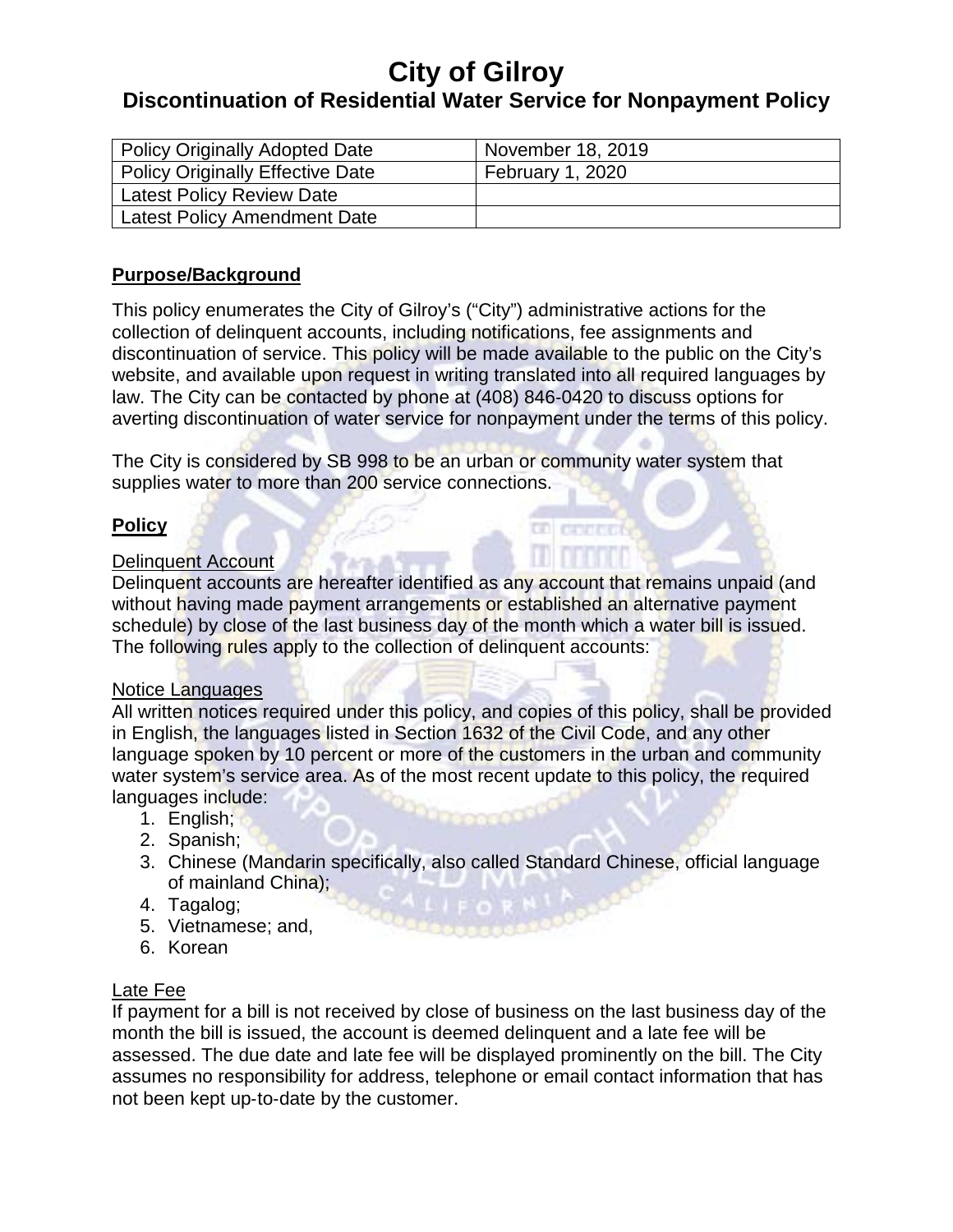# **Discontinuation of Residential Water Service for Nonpayment Policy**

| <b>Policy Originally Adopted Date</b>   | November 18, 2019 |
|-----------------------------------------|-------------------|
| <b>Policy Originally Effective Date</b> | February 1, 2020  |
| <b>Latest Policy Review Date</b>        |                   |
| <b>Latest Policy Amendment Date</b>     |                   |

## **Purpose/Background**

This policy enumerates the City of Gilroy's ("City") administrative actions for the collection of delinquent accounts, including notifications, fee assignments and discontinuation of service. This policy will be made available to the public on the City's website, and available upon request in writing translated into all required languages by law. The City can be contacted by phone at (408) 846‐0420 to discuss options for averting discontinuation of water service for nonpayment under the terms of this policy.

The City is considered by SB 998 to be an urban or community water system that supplies water to more than 200 service connections.

## **Policy**

### Delinquent Account

Delinquent accounts are hereafter identified as any account that remains unpaid (and without having made payment arrangements or established an alternative payment schedule) by close of the last business day of the month which a water bill is issued. The following rules apply to the collection of delinquent accounts:

**DEL Provincia** 

## Notice Languages

All written notices required under this policy, and copies of this policy, shall be provided in English, the languages listed in Section 1632 of the Civil Code, and any other language spoken by 10 percent or more of the customers in the urban and community water system's service area. As of the most recent update to this policy, the required languages include:

- 1. English;
- 2. Spanish;
- 3. Chinese (Mandarin specifically, also called Standard Chinese, official language of mainland China);
- 4. Tagalog;
- 5. Vietnamese; and,
- 6. Korean

## Late Fee

If payment for a bill is not received by close of business on the last business day of the month the bill is issued, the account is deemed delinquent and a late fee will be assessed. The due date and late fee will be displayed prominently on the bill. The City assumes no responsibility for address, telephone or email contact information that has not been kept up‐to‐date by the customer.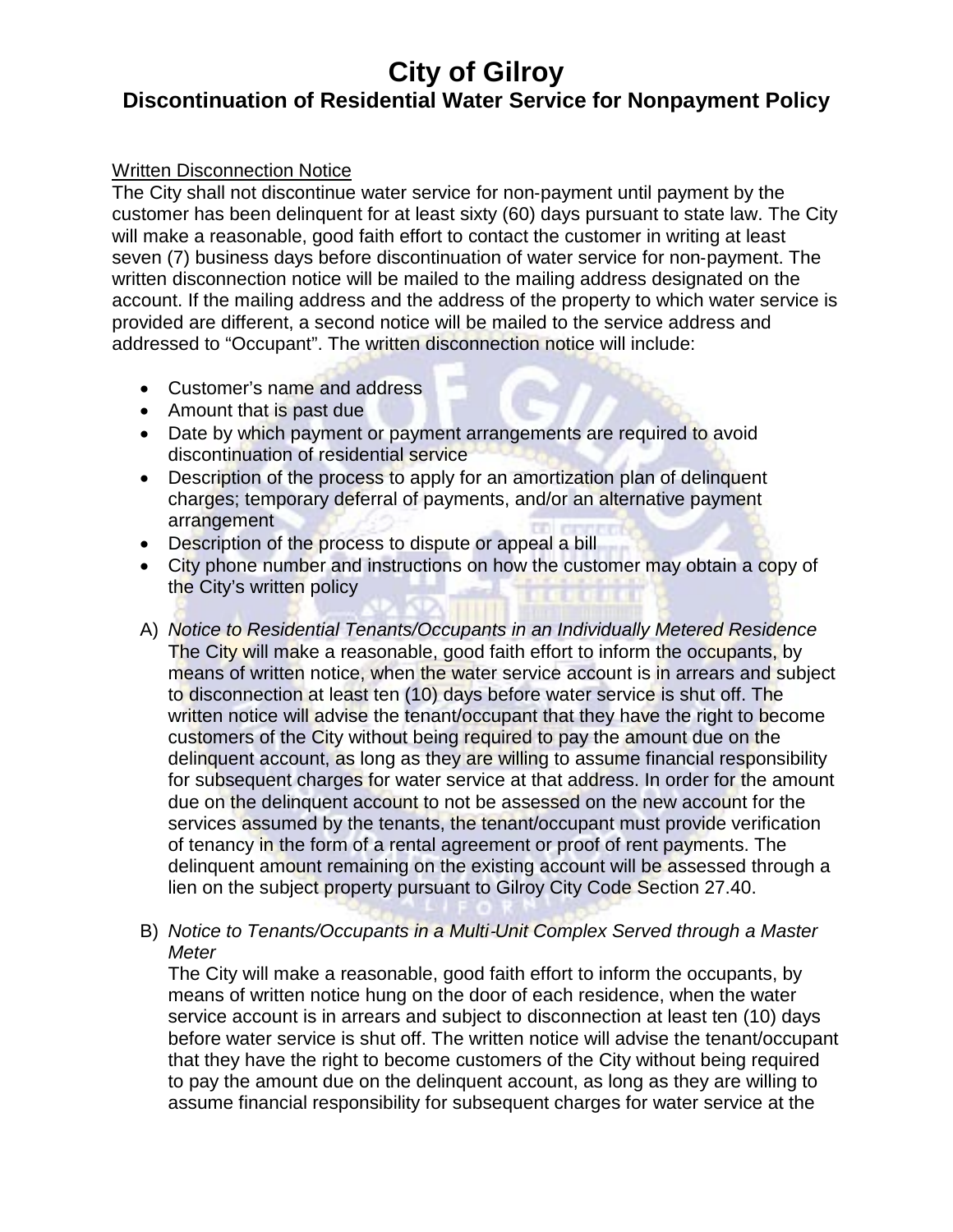# **Discontinuation of Residential Water Service for Nonpayment Policy**

#### Written Disconnection Notice

The City shall not discontinue water service for non‐payment until payment by the customer has been delinquent for at least sixty (60) days pursuant to state law. The City will make a reasonable, good faith effort to contact the customer in writing at least seven (7) business days before discontinuation of water service for non‐payment. The written disconnection notice will be mailed to the mailing address designated on the account. If the mailing address and the address of the property to which water service is provided are different, a second notice will be mailed to the service address and addressed to "Occupant". The written disconnection notice will include:

- Customer's name and address
- Amount that is past due
- Date by which payment or payment arrangements are required to avoid discontinuation of residential service
- Description of the process to apply for an amortization plan of delinquent charges; temporary deferral of payments, and/or an alternative payment arrangement
- Description of the process to dispute or appeal a bill
- City phone number and instructions on how the customer may obtain a copy of the City's written policy
- A) *Notice to Residential Tenants/Occupants in an Individually Metered Residence* The City will make a reasonable, good faith effort to inform the occupants, by means of written notice, when the water service account is in arrears and subject to disconnection at least ten (10) days before water service is shut off. The written notice will advise the tenant/occupant that they have the right to become customers of the City without being required to pay the amount due on the delinquent account, as long as they are willing to assume financial responsibility for subsequent charges for water service at that address. In order for the amount due on the delinquent account to not be assessed on the new account for the services assumed by the tenants, the tenant/occupant must provide verification of tenancy in the form of a rental agreement or proof of rent payments. The delinquent amount remaining on the existing account will be assessed through a lien on the subject property pursuant to Gilroy City Code Section 27.40.
- B) *Notice to Tenants/Occupants in a Multi*‐*Unit Complex Served through a Master Meter*

The City will make a reasonable, good faith effort to inform the occupants, by means of written notice hung on the door of each residence, when the water service account is in arrears and subject to disconnection at least ten (10) days before water service is shut off. The written notice will advise the tenant/occupant that they have the right to become customers of the City without being required to pay the amount due on the delinquent account, as long as they are willing to assume financial responsibility for subsequent charges for water service at the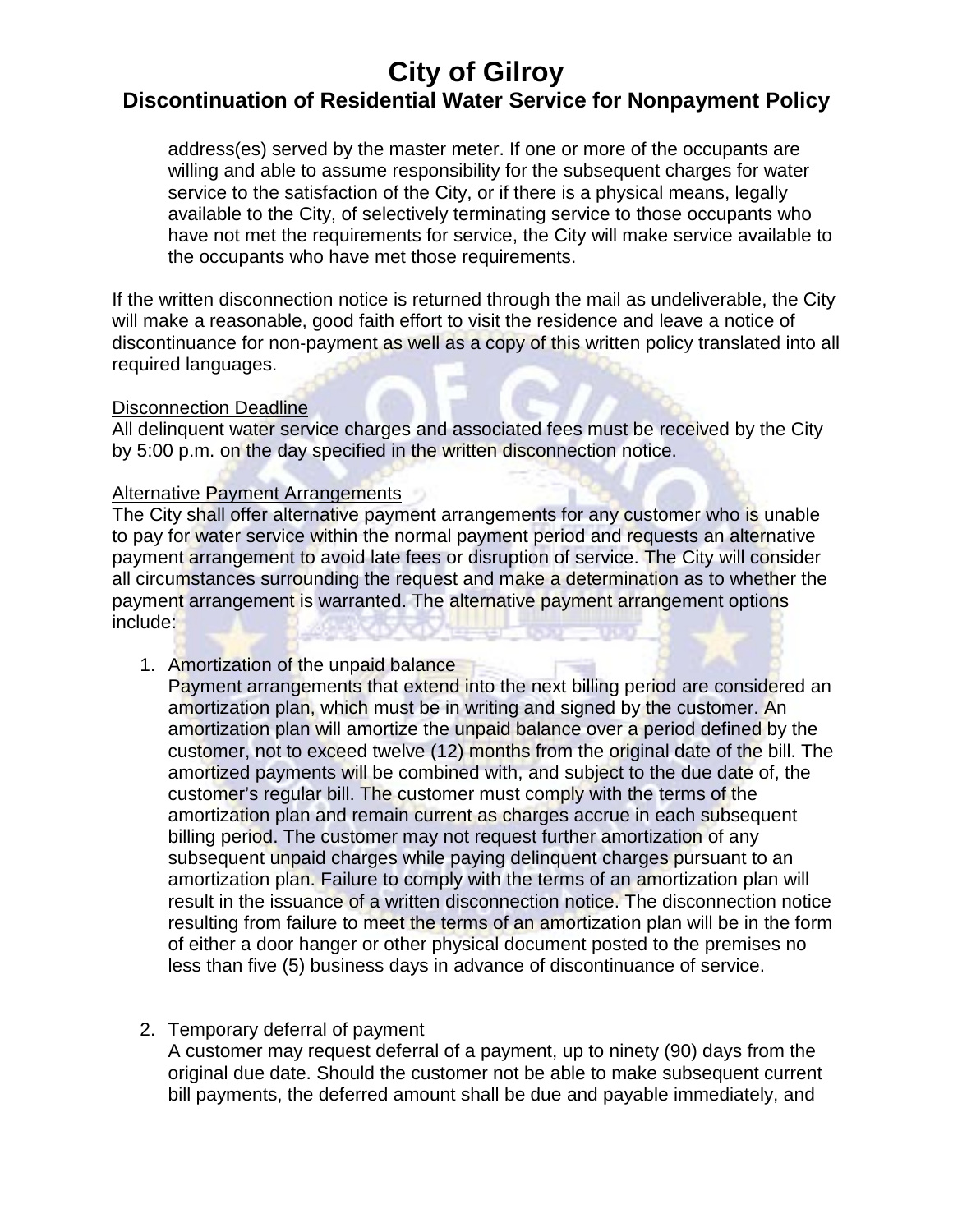# **Discontinuation of Residential Water Service for Nonpayment Policy**

address(es) served by the master meter. If one or more of the occupants are willing and able to assume responsibility for the subsequent charges for water service to the satisfaction of the City, or if there is a physical means, legally available to the City, of selectively terminating service to those occupants who have not met the requirements for service, the City will make service available to the occupants who have met those requirements.

If the written disconnection notice is returned through the mail as undeliverable, the City will make a reasonable, good faith effort to visit the residence and leave a notice of discontinuance for non‐payment as well as a copy of this written policy translated into all required languages.

#### Disconnection Deadline

All delinquent water service charges and associated fees must be received by the City by 5:00 p.m. on the day specified in the written disconnection notice.

#### Alternative Payment Arrangements

The City shall offer alternative payment arrangements for any customer who is unable to pay for water service within the normal payment period and requests an alternative payment arrangement to avoid late fees or disruption of service. The City will consider all circumstances surrounding the request and make a determination as to whether the payment arrangement is warranted. The alternative payment arrangement options include:

1. Amortization of the unpaid balance

Payment arrangements that extend into the next billing period are considered an amortization plan, which must be in writing and signed by the customer. An amortization plan will amortize the unpaid balance over a period defined by the customer, not to exceed twelve (12) months from the original date of the bill. The amortized payments will be combined with, and subject to the due date of, the customer's regular bill. The customer must comply with the terms of the amortization plan and remain current as charges accrue in each subsequent billing period. The customer may not request further amortization of any subsequent unpaid charges while paying delinquent charges pursuant to an amortization plan. Failure to comply with the terms of an amortization plan will result in the issuance of a written disconnection notice. The disconnection notice resulting from failure to meet the terms of an amortization plan will be in the form of either a door hanger or other physical document posted to the premises no less than five (5) business days in advance of discontinuance of service.

## 2. Temporary deferral of payment

A customer may request deferral of a payment, up to ninety (90) days from the original due date. Should the customer not be able to make subsequent current bill payments, the deferred amount shall be due and payable immediately, and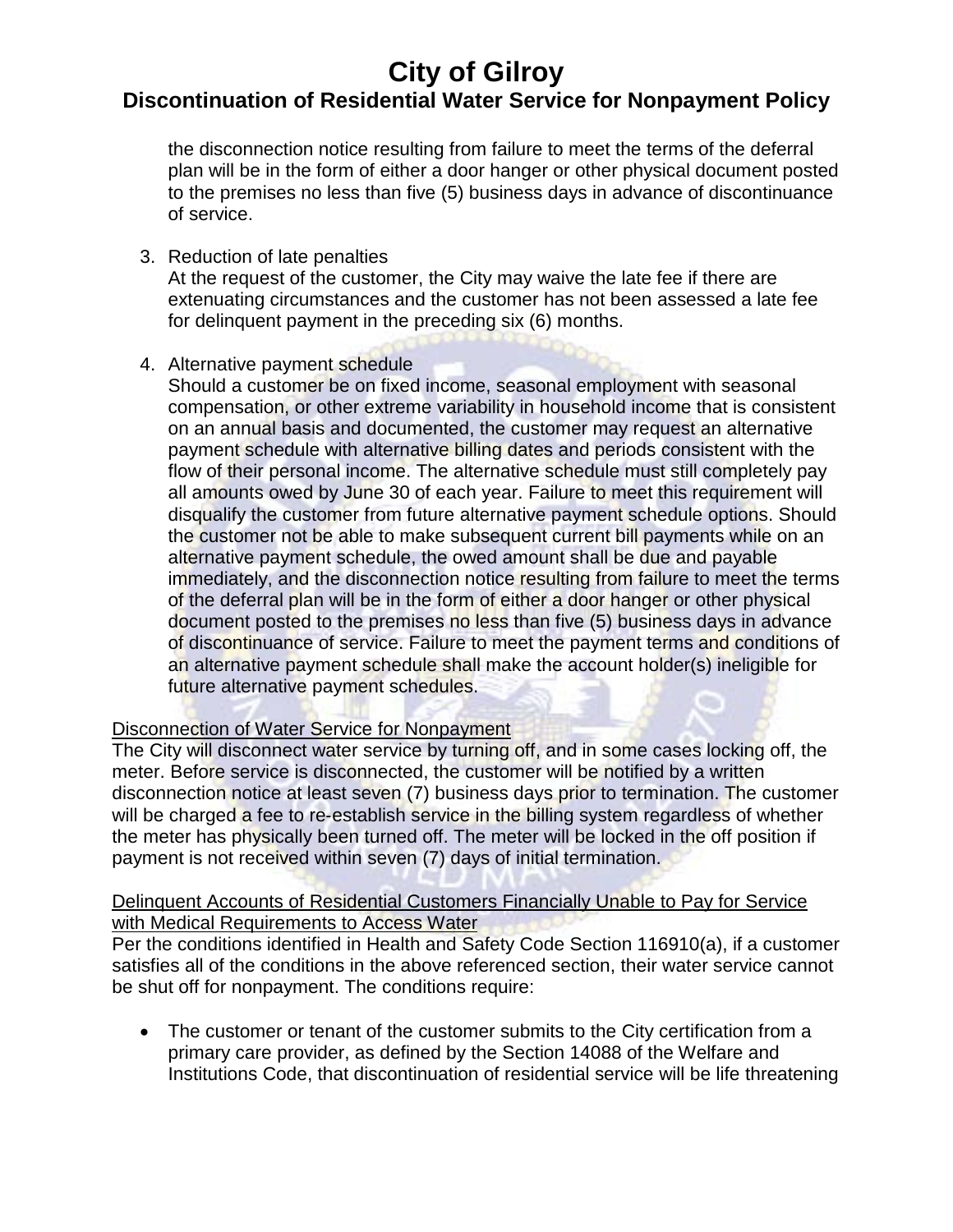## **City of Gilroy Discontinuation of Residential Water Service for Nonpayment Policy**

the disconnection notice resulting from failure to meet the terms of the deferral plan will be in the form of either a door hanger or other physical document posted to the premises no less than five (5) business days in advance of discontinuance of service.

3. Reduction of late penalties

At the request of the customer, the City may waive the late fee if there are extenuating circumstances and the customer has not been assessed a late fee for delinquent payment in the preceding six (6) months.

4. Alternative payment schedule

Should a customer be on fixed income, seasonal employment with seasonal compensation, or other extreme variability in household income that is consistent on an annual basis and documented, the customer may request an alternative payment schedule with alternative billing dates and periods consistent with the flow of their personal income. The alternative schedule must still completely pay all amounts owed by June 30 of each year. Failure to meet this requirement will disqualify the customer from future alternative payment schedule options. Should the customer not be able to make subsequent current bill payments while on an alternative payment schedule, the owed amount shall be due and payable immediately, and the disconnection notice resulting from failure to meet the terms of the deferral plan will be in the form of either a door hanger or other physical document posted to the premises no less than five (5) business days in advance of discontinuance of service. Failure to meet the payment terms and conditions of an alternative payment schedule shall make the account holder(s) ineligible for future alternative payment schedules.

## Disconnection of Water Service for Nonpayment

The City will disconnect water service by turning off, and in some cases locking off, the meter. Before service is disconnected, the customer will be notified by a written disconnection notice at least seven (7) business days prior to termination. The customer will be charged a fee to re-establish service in the billing system regardless of whether the meter has physically been turned off. The meter will be locked in the off position if payment is not received within seven (7) days of initial termination.

#### Delinquent Accounts of Residential Customers Financially Unable to Pay for Service with Medical Requirements to Access Water

Per the conditions identified in Health and Safety Code Section 116910(a), if a customer satisfies all of the conditions in the above referenced section, their water service cannot be shut off for nonpayment. The conditions require:

• The customer or tenant of the customer submits to the City certification from a primary care provider, as defined by the Section 14088 of the Welfare and Institutions Code, that discontinuation of residential service will be life threatening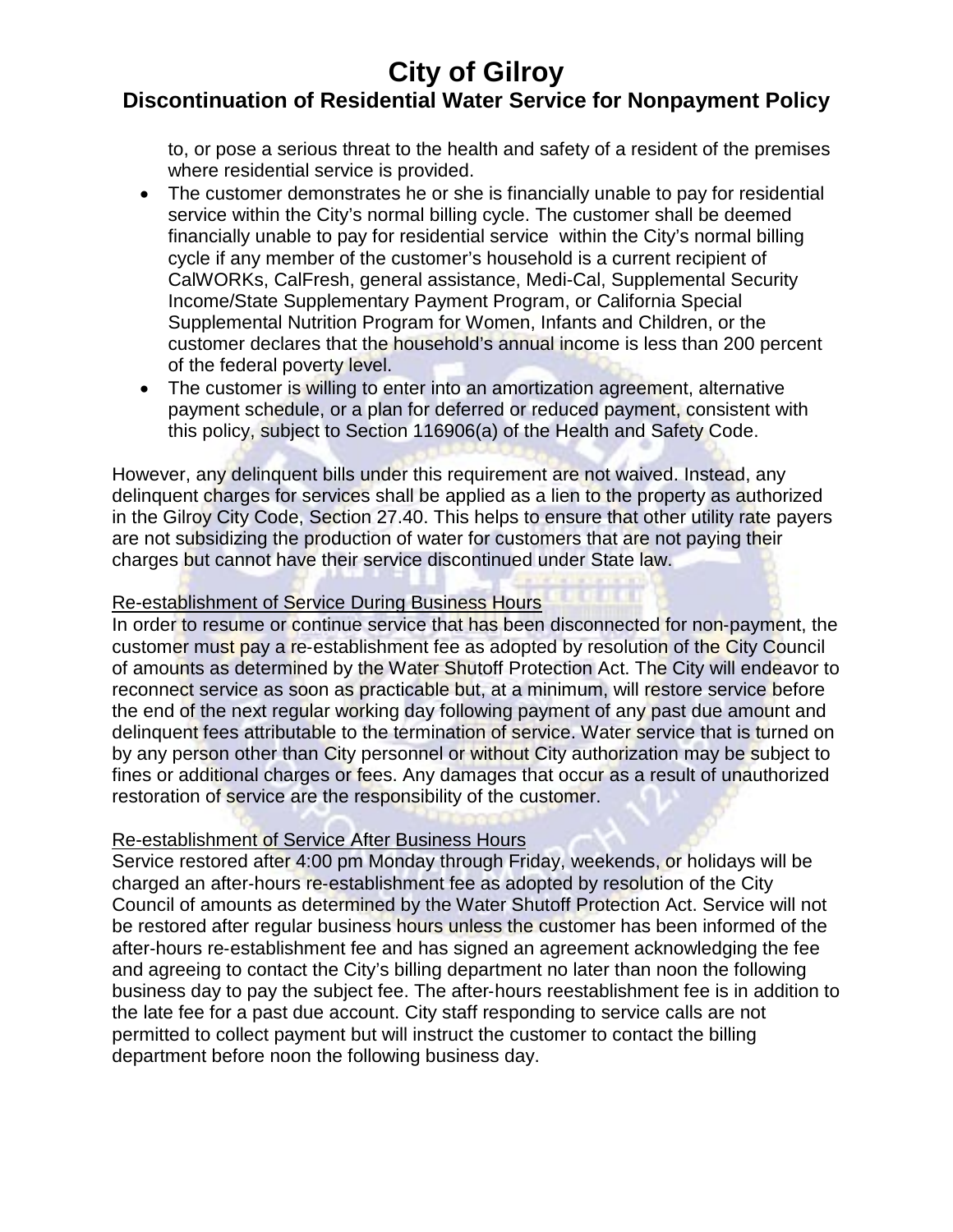## **Discontinuation of Residential Water Service for Nonpayment Policy**

to, or pose a serious threat to the health and safety of a resident of the premises where residential service is provided.

- The customer demonstrates he or she is financially unable to pay for residential service within the City's normal billing cycle. The customer shall be deemed financially unable to pay for residential service within the City's normal billing cycle if any member of the customer's household is a current recipient of CalWORKs, CalFresh, general assistance, Medi-Cal, Supplemental Security Income/State Supplementary Payment Program, or California Special Supplemental Nutrition Program for Women, Infants and Children, or the customer declares that the household's annual income is less than 200 percent of the federal poverty level.
- The customer is willing to enter into an amortization agreement, alternative payment schedule, or a plan for deferred or reduced payment, consistent with this policy, subject to Section 116906(a) of the Health and Safety Code.

However, any delinquent bills under this requirement are not waived. Instead, any delinquent charges for services shall be applied as a lien to the property as authorized in the Gilroy City Code, Section 27.40. This helps to ensure that other utility rate payers are not subsidizing the production of water for customers that are not paying their charges but cannot have their service discontinued under State law.

#### Re-establishment of Service During Business Hours

In order to resume or continue service that has been disconnected for non-payment, the customer must pay a re‐establishment fee as adopted by resolution of the City Council of amounts as determined by the Water Shutoff Protection Act. The City will endeavor to reconnect service as soon as practicable but, at a minimum, will restore service before the end of the next regular working day following payment of any past due amount and delinquent fees attributable to the termination of service. Water service that is turned on by any person other than City personnel or without City authorization may be subject to fines or additional charges or fees. Any damages that occur as a result of unauthorized restoration of service are the responsibility of the customer.

#### Re-establishment of Service After Business Hours

Service restored after 4:00 pm Monday through Friday, weekends, or holidays will be charged an after‐hours re‐establishment fee as adopted by resolution of the City Council of amounts as determined by the Water Shutoff Protection Act. Service will not be restored after regular business hours unless the customer has been informed of the after‐hours re‐establishment fee and has signed an agreement acknowledging the fee and agreeing to contact the City's billing department no later than noon the following business day to pay the subject fee. The after‐hours reestablishment fee is in addition to the late fee for a past due account. City staff responding to service calls are not permitted to collect payment but will instruct the customer to contact the billing department before noon the following business day.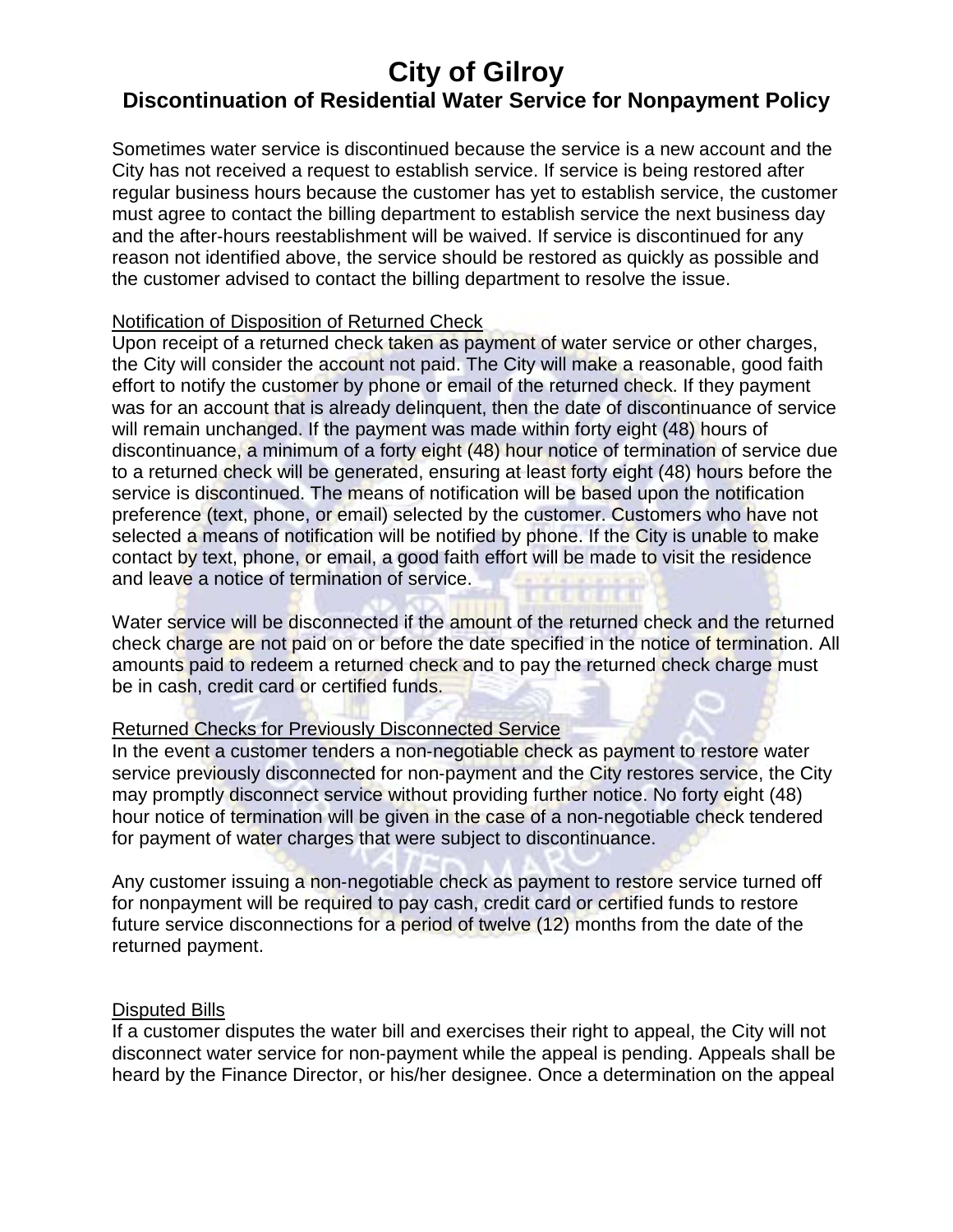## **Discontinuation of Residential Water Service for Nonpayment Policy**

Sometimes water service is discontinued because the service is a new account and the City has not received a request to establish service. If service is being restored after regular business hours because the customer has yet to establish service, the customer must agree to contact the billing department to establish service the next business day and the after-hours reestablishment will be waived. If service is discontinued for any reason not identified above, the service should be restored as quickly as possible and the customer advised to contact the billing department to resolve the issue.

### Notification of Disposition of Returned Check

Upon receipt of a returned check taken as payment of water service or other charges, the City will consider the account not paid. The City will make a reasonable, good faith effort to notify the customer by phone or email of the returned check. If they payment was for an account that is already delinquent, then the date of discontinuance of service will remain unchanged. If the payment was made within forty eight (48) hours of discontinuance, a minimum of a forty eight (48) hour notice of termination of service due to a returned check will be generated, ensuring at least forty eight (48) hours before the service is discontinued. The means of notification will be based upon the notification preference (text, phone, or email) selected by the customer. Customers who have not selected a means of notification will be notified by phone. If the City is unable to make contact by text, phone, or email, a good faith effort will be made to visit the residence and leave a notice of termination of service.

Water service will be disconnected if the amount of the returned check and the returned check charge are not paid on or before the date specified in the notice of termination. All amounts paid to redeem a returned check and to pay the returned check charge must be in cash, credit card or certified funds.

#### Returned Checks for Previously Disconnected Service

In the event a customer tenders a non-negotiable check as payment to restore water service previously disconnected for non-payment and the City restores service, the City may promptly disconnect service without providing further notice. No forty eight (48) hour notice of termination will be given in the case of a non‐negotiable check tendered for payment of water charges that were subject to discontinuance.

Any customer issuing a non-negotiable check as payment to restore service turned off for nonpayment will be required to pay cash, credit card or certified funds to restore future service disconnections for a period of twelve (12) months from the date of the returned payment.

#### Disputed Bills

If a customer disputes the water bill and exercises their right to appeal, the City will not disconnect water service for non‐payment while the appeal is pending. Appeals shall be heard by the Finance Director, or his/her designee. Once a determination on the appeal